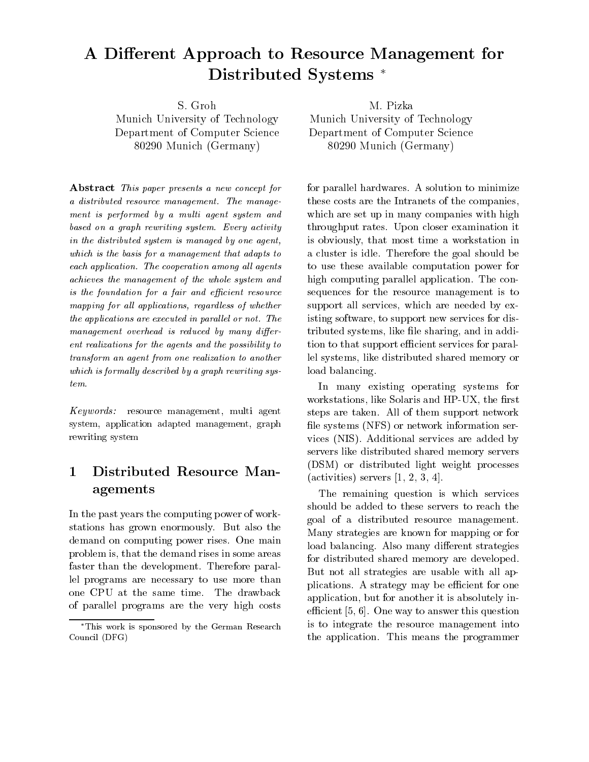# A Different Approach to Resource Management for Distributed Systems

Munich University of Technology Department of Computer Science  $_{\rm 002}$ Jo Ivrument (Germany)

Abstract This paper presents a new concept for a distributed resource management. The management is performed by a multi agent system and based on a graph rewriting system. Every activity in the distributed system is managed by one agent, which is the basis for a management that adapts to each application. The cooperation among all agents achieves the management of the whole system and  $is the foundation for a fair and efficient resource$ mapping for all lipping in the state of whether  $\mathcal{L}_i$ the applications are executed in parallel or not. The  $m$ anagement overhead is reduced by many different realizations for the agents and the possibility to transform an agent from one realization to another which is formally described by a graph rewriting sys $tem.$ 

Keywords resource management multi agent system, application adapted management, graph rewriting system

### Distributed Resource Man agements

In the past years the computing power of work stations has grown enormously. But also the demand on computing power rises. One main problem is-that the demand rises in some areas in some areas in some areas in some areas in some areas in some faster than the development. Therefore parallel programs are necessary to use more than one CPU at the same time. The drawback of parallel programs are the very high costs

Munich University of Technology Department of Computer Science  $\mathcal{O}(1230)$  -inductive determinance of  $\mathcal{O}(1230)$ 

for parallel hardwares A solution to minimize these costs are the Intranets of the companies, which are set up in many companies with high throughput rates. Upon closer examination it is obviously-that most time a workstation in the most time a workstation in  $\mathcal{M}$ a cluster is idle. Therefore the goal should be to use these available computation power for high computing parallel application. The consequences for the resource management is to supported and services of the services of the services of the services of the services of the service of the s isting software- to support new services for dis tributed systems and in additional contract of the state of the state of the state of the state of the state o tion to that support efficient services for parallel systems- like distributed shared memory or load balancing

In many existing operating systems for workstations-was described the solar solar the rest of the ratio of the solar state of the solar state of the steps are taken. All of them support network file systems (NFS) or network information services (NIS). Additional services are added by servers like distributed shared memory servers (DSM) or distributed light weight processes activities of the servers of the servers of the servers of the servers of the servers of the servers of the servers of the servers of the server of the server of the server of the server of the server of the server of the

The remaining question is which services should be added to these servers to reach the goal of a distributed resource management Many strategies are known for mapping or for load balancing. Also many different strategies for distributed shared memory are developed But not all strategies are usable with all ap plications. A strategy may be efficient for one application-there is absolutely in the absolute in the second interest in the second interest  $\mu$  is a second interest of the second interest of the second interest of the second interest of the second interest of the sec ecient and the community of the state of the state of the state of the state of the state of the state of the s is to integrate the resource management into the application. This means the programmer

This work is sponsored by the German Research Council (DFG)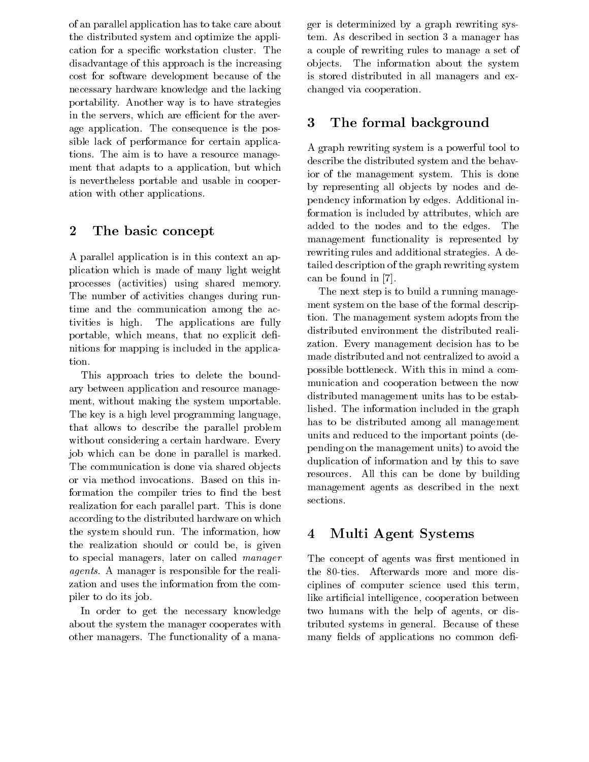of an parallel application has to take care about the distributed system and optimize the appli cation for a specific workstation cluster. The disadvantage of this approach is the increasing cost for software development because of the necessary hardware knowledge and the lacking portability. Another way is to have strategies in the servers-the servers-the servers-the average control to the average control to the average control to th age application. The consequence is the possible lack of performance for certain applica tions. The aim is to have a resource management that adapts to a strong power and a provided to a control of the strong strong and a strong strong strong is nevertheless portable and usable in cooper ation with other applications

#### $\overline{2}$ The basic concept

A parallel application is in this context an ap plication which is made of many light weight processes (activities) using shared memory. The number of activities changes during run time and the communication among the ac tivities is high. The applications are fully portable-black means-black means-black means-black means-black means-black means-black means-black means-black nitions for mapping is included in the applica tion

This approach tries to delete the bound ary between application and resource manage ment- without making the system unportable The key is a high level programming language, that allows to describe the parallel problem without considering a certain hardware. Every job which can be done in parallel is marked The communication is done via shared objects or via method invocations. Based on this information the compiler tries to find the best manager realization for each parallel part. This is done according to the distributed hardware on which the system showledge information- information- information- information- information- information- informationthe realization should be realized be-could be-could beto special managers, iaser on called manager **later** agents. A manager is responsible for the realization and uses the information from the com piler to do its job

In order to get the necessary knowledge about the system the manager cooperates with other managers. The functionality of a manager is determinized by a graph rewriting sys tem As described in section  $\mathbf{A}$  and  $\mathbf{A}$  manager has described in section  $\mathbf{A}$ a couple of rewriting rules to manage a set of objects. The information about the system is stored distributed in all managers and ex changed via cooperation

### The formal background

A graph rewriting system is a powerful tool to describe the distributed system and the behav ior of the management system. This is done by representing all objects by nodes and dependency information by edges Additional in formation is included by attributes- which are added to the nodes and to the edges. The management functionality is represented by rewriting rules and additional strategies A de tailed description of the graph rewriting system can be found in 

The next step is to build a running manage ment system on the base of the formal descrip tion. The management system adopts from the distributed environment the distributed reali zation. Every management decision has to be made distributed and not centralized to avoid a possible bottleneck With this in mind a com munication and cooperation between the now distributed management units has to be estab lished. The information included in the graph has to be distributed among all management units and reduced to the important points de pending on the management units) to avoid the duplication of information and by this to save resources All this can be done by building management agents as described in the next

### Multi Agent Systems

The concept of agents was first mentioned in the 80-ties. Afterwards more and more disciplines of computer science used this termlike articial intelligence- cooperation between the modern with the help of agency of any tributed systems in general. Because of these many fields of applications no common defi-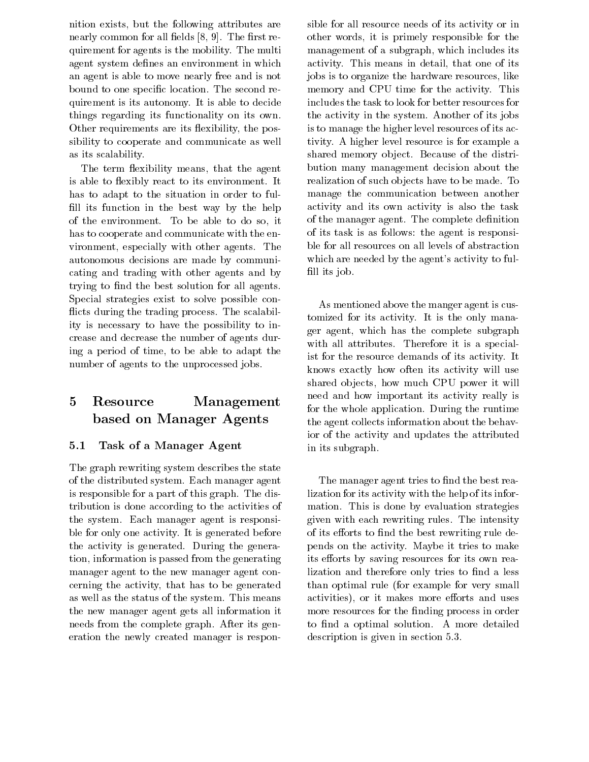nition exists-but the following attributes are  $\mathbf{f}(\mathbf{A})$ nearly common for all elds -  The rst re quirement for agents is the mobility. The multi agent system defines an environment in which an agent is able to move nearly free and is not bound to one specific location. The second requirement is its autonomy It is able to decide things regarding its functionality on its own Other requirements are its exibility- the pos sibility to cooperate and communicate as well as its scalability

The term existence of the agents-that the agents-that the agents-the agents-that the agents-the agents-the agentsis able to flexibly react to its environment. It has to adapt to the situation in order to ful fill its function in the best way by the help of the environment To be able to do so-it has to cooperate and communicate with the en vironment- especially with other agents The autonomous decisions are made by communi cating and trading with other agents and by trying to find the best solution for all agents. Special strategies exist to solve possible con flicts during the trading process. The scalability is necessary to have the possibility to in crease and decrease the number of agents dur ing a period of time- to be able to adapt the number of agents to the unprocessed jobs

## Resource Management based on Manager Agents

#### 5.1 Task of a Manager Agent

The graph rewriting system describes the state of the distributed system. Each manager agent is responsible for a part of this graph. The distribution is done according to the activities of the system. Each manager agent is responsible for only one activity. It is generated before the activity is generated. During the generation-tion-distance is passed from the generation is passed from the generation  $\mathcal{L}(\mathbf{A})$ manager agent to the new manager agent con corning that it is to be activity-that the generation of the top of the second that the second that  $\alpha$ as well as the status of the system. This means the new manager agent gets all information it needs from the complete graph. After its generation the newly created manager is respon

sible for all resource needs of its activity or in other words-benefits-benefits-benefits-benefits-benefits-benefits-benefits-benefits-benefits-benefits-benefits management of a subgraph, which includes its and activity, the means in detailed and detailed the one of its contract of its contract of its contract of its co jobs is to organize the hardware resources- like memory and CPU time for the activity. This includes the task to look for better resources for the activity in the system. Another of its jobs is to manage the higher level resources of its ac tivity A higher level resource is for example a shared memory object. Because of the distribution many management decision about the realization of such objects have to be made. To manage the communication between another activity and its own activity is also the task of the manager agent. The complete definition of its task is as follows: the agent is responsible for all resources on all levels of abstraction which are needed by the agent's activity to fulfill its job.

As mentioned above the manger agent is cus tomized for its activity. It is the only mana- $\alpha$  - which has the complete subgraphs of  $\alpha$  and  $\alpha$ with all attributes. Therefore it is a specialist for the resource demands of its activity. It knows exactly how often its activity will use shared ob jects-left and the power it will be power it will be a power it will be a power it will be a power i need and how important its activity really is for the whole application. During the runtime the agent collects information about the behav ior of the activity and updates the attributed in its subgraph

The manager agent tries to find the best realization for its activity with the help of its infor mation This is done by evaluation strategies given with each rewriting rules. The intensity of its efforts to find the best rewriting rule depends on the activity. Maybe it tries to make its efforts by saving resources for its own realization and therefore only tries to find a less than optimal rule for example for very small activities- and uses and uses and uses and uses more and uses of the contract of the contract of the contract more resources for the finding process in order to find a optimal solution. A more detailed description is given in section in section in section in section in section in section in section in section in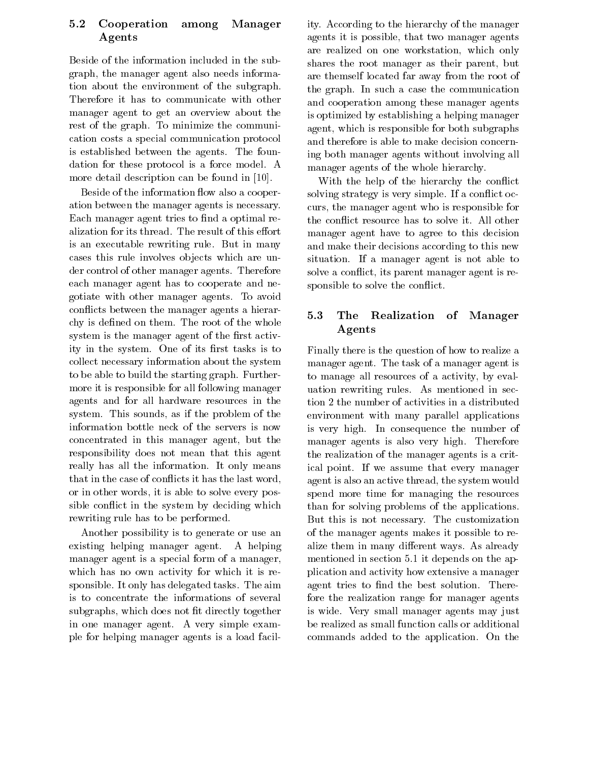### Cooperation among Manager  $5.2$ Agents

Beside of the information included in the sub  $\alpha$ - the manager and the manager and the manager also needs in the manager of  $\alpha$ tion about the environment of the subgraph Therefore it has to communicate with other manager agent to get an overview about the rest of the graph. To minimize the communication costs a special communication protocol is established between the agents. The foundation for these protocol is a force model. A more detail description can be found in [10].

Beside of the information flow also a cooperation between the manager agents is necessary Each manager agent tries to find a optimal realization for its thread. The result of this effort is an executable rewriting rule. But in many cases this rule involves objects which are under control of other manager agents. Therefore each manager agent has to cooperate and ne gotiate with other manager agents To avoid conflicts between the manager agents a hierar-<br>5.3 chy is defined on them. The root of the whole system is the manager agent of the first activity in the system. One of its first tasks is to collect necessary information about the system to be able to build the starting graph. Furthermore it is responsible for all following manager agents and for all hardware resources in the system This sounds-the problem of the soundsinformation bottle neck of the servers is now concentrated in the manager agent, which is a second the responsibility does not mean that this agent really has all the information. It only means that in the case of conflicts it has the last word, or in other words-to-solve every positive every positive every positive every positive eventy positive every p sible conflict in the system by deciding which rewriting rule has to be performed

Another possibility is to generate or use an existing helping manager agent. A helping manager agent is a special form of a manager, which has no own activity for which it is re sponsible. It only has delegated tasks. The aim is to concentrate the informations of several subgraphs- which does not the does not the contract of the document of the document of the document of the document of the document of the document of the document of the document of the document of the document of the doc in one manager agent. A very simple example for helping manager agents is a load facil

ity. According to the hierarchy of the manager agents it is possible- that two manager agents are realized on one work is a realized on a series on a realized only and the contract of the contract of the shares the root manager as their parent- but are themself located far away from the root of the graph. In such a case the communication and cooperation among these manager agents is optimized by establishing a helping manager agent-both is responsible for both subgraphs in the both subgraphs of the both subgraphs of the both subgraphs of the both subgraphs of the both subgraphs of the both subgraphs of the both subgraphs of the both subgraphs o and therefore is able to make decision concern ing both manager agents without involving all manager agents of the whole hierarchy

With the help of the hierarchy the conflict solving strategy is very simple. If a conflict occurs- the manager agent who is responsible for the conflict resource has to solve it. All other manager agent have to agree to this decision and make their decisions according to this new situation. If a manager agent is not able to solve a contract- its parent manager agent is related to the contract of the contract of the contract of the contract of the contract of the contract of the contract of the contract of the contract of the contract of the c sponsible to solve the conflict.

### The Realization of Manager Agents

Finally there is the question of how to realize a manager agent. The task of a manager agent is to manage all resources of a activity-dependent of a set  $\mathcal{L}$  and  $\mathcal{L}$ uation rewriting rules. As mentioned in section 2 the number of activities in a distributed environment with many parallel applications is very high. In consequence the number of manager agents is also very high. Therefore the realization of the manager agents is a crit ical point. If we assume that every manager  $\sim$   $\sim$  and the system would thread-thread-thread-thread-thread-thread-threadspend more time for managing the resources than for solving problems of the applications But this is not necessary. The customization of the manager agents makes it possible to re alize them in many different ways. As already mentioned in section 5.1 it depends on the application and activity how extensive a manager agent tries to find the best solution. Therefore the realization range for manager agents is wide Very small manager agents may just be realized as small function calls or additional commands added to the application. On the